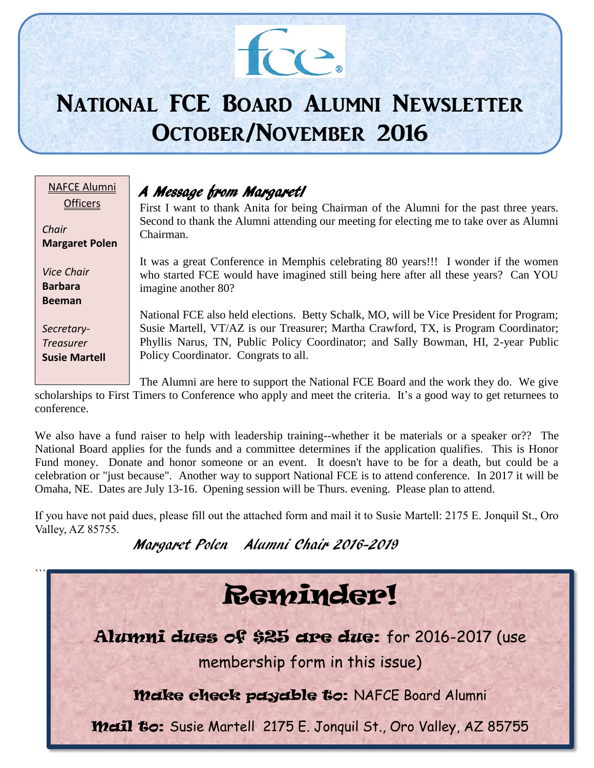# $\mathcal{H}$

# National FCE Board Alumni Newsletter October/November 2016

| IAFCE Alumni          |  |
|-----------------------|--|
| <b>Officers</b>       |  |
|                       |  |
| Chair                 |  |
| <b>Margaret Polen</b> |  |
|                       |  |
| <b>Vice Chair</b>     |  |
| Barbara               |  |
| Beeman                |  |
|                       |  |
| Secretary-            |  |
| Treasurer             |  |
| <b>Susie Martell</b>  |  |
|                       |  |
|                       |  |

# A Message from Margaret!

First I want to thank Anita for being Chairman of the Alumni for the past three years. Second to thank the Alumni attending our meeting for electing me to take over as Alumni Chairman.

It was a great Conference in Memphis celebrating 80 years!!! I wonder if the women who started FCE would have imagined still being here after all these years? Can YOU imagine another 80?

National FCE also held elections. Betty Schalk, MO, will be Vice President for Program; Susie Martell, VT/AZ is our Treasurer; Martha Crawford, TX, is Program Coordinator; Phyllis Narus, TN, Public Policy Coordinator; and Sally Bowman, HI, 2-year Public Policy Coordinator. Congrats to all.

The Alumni are here to support the National FCE Board and the work they do. We give scholarships to First Timers to Conference who apply and meet the criteria. It's a good way to get returnees to conference.

We also have a fund raiser to help with leadership training--whether it be materials or a speaker or?? The National Board applies for the funds and a committee determines if the application qualifies. This is Honor Fund money. Donate and honor someone or an event. It doesn't have to be for a death, but could be a celebration or "just because". Another way to support National FCE is to attend conference. In 2017 it will be Omaha, NE. Dates are July 13-16. Opening session will be Thurs. evening. Please plan to attend.

If you have not paid dues, please fill out the attached form and mail it to Susie Martell: 2175 E. Jonquil St., Oro Valley, AZ 85755.

Margaret Polen Alumni Chair 2016-2019

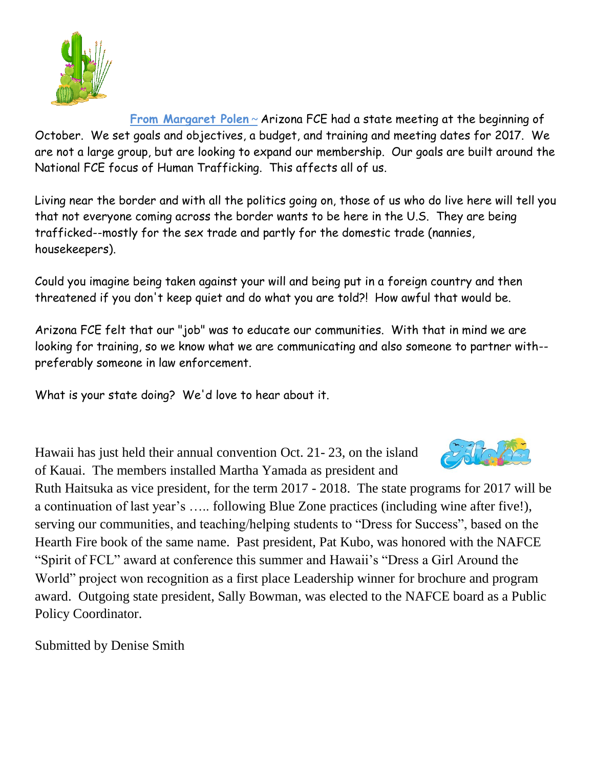

**From Margaret Polen ~** Arizona FCE had a state meeting at the beginning of October. We set goals and objectives, a budget, and training and meeting dates for 2017. We are not a large group, but are looking to expand our membership. Our goals are built around the National FCE focus of Human Trafficking. This affects all of us.

Living near the border and with all the politics going on, those of us who do live here will tell you that not everyone coming across the border wants to be here in the U.S. They are being trafficked--mostly for the sex trade and partly for the domestic trade (nannies, housekeepers).

Could you imagine being taken against your will and being put in a foreign country and then threatened if you don't keep quiet and do what you are told?! How awful that would be.

Arizona FCE felt that our "job" was to educate our communities. With that in mind we are looking for training, so we know what we are communicating and also someone to partner with- preferably someone in law enforcement.

What is your state doing? We'd love to hear about it.

Hawaii has just held their annual convention Oct. 21- 23, on the island of Kauai. The members installed Martha Yamada as president and



Ruth Haitsuka as vice president, for the term 2017 - 2018. The state programs for 2017 will be a continuation of last year's ….. following Blue Zone practices (including wine after five!), serving our communities, and teaching/helping students to "Dress for Success", based on the Hearth Fire book of the same name. Past president, Pat Kubo, was honored with the NAFCE "Spirit of FCL" award at conference this summer and Hawaii's "Dress a Girl Around the World" project won recognition as a first place Leadership winner for brochure and program award. Outgoing state president, Sally Bowman, was elected to the NAFCE board as a Public Policy Coordinator.

Submitted by Denise Smith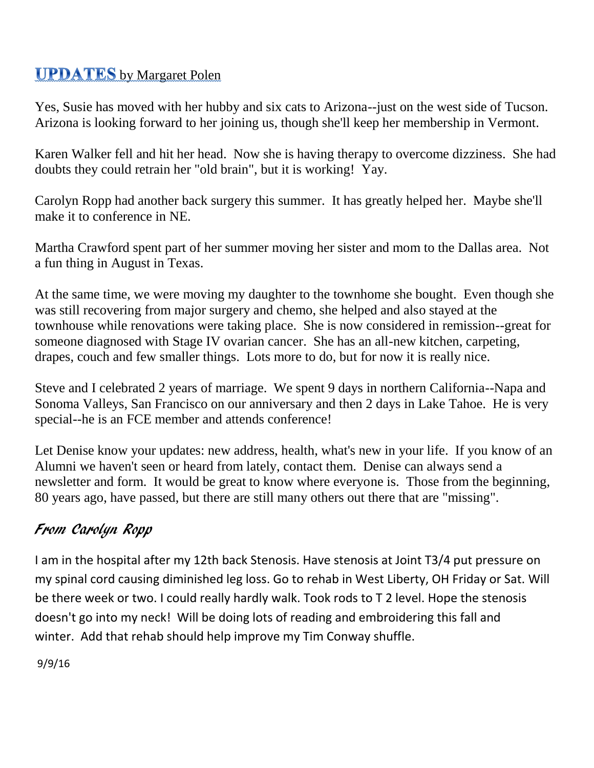## **UPDATES** by Margaret Polen

Yes, Susie has moved with her hubby and six cats to Arizona--just on the west side of Tucson. Arizona is looking forward to her joining us, though she'll keep her membership in Vermont.

Karen Walker fell and hit her head. Now she is having therapy to overcome dizziness. She had doubts they could retrain her "old brain", but it is working! Yay.

Carolyn Ropp had another back surgery this summer. It has greatly helped her. Maybe she'll make it to conference in NE.

Martha Crawford spent part of her summer moving her sister and mom to the Dallas area. Not a fun thing in August in Texas.

At the same time, we were moving my daughter to the townhome she bought. Even though she was still recovering from major surgery and chemo, she helped and also stayed at the townhouse while renovations were taking place. She is now considered in remission--great for someone diagnosed with Stage IV ovarian cancer. She has an all-new kitchen, carpeting, drapes, couch and few smaller things. Lots more to do, but for now it is really nice.

Steve and I celebrated 2 years of marriage. We spent 9 days in northern California--Napa and Sonoma Valleys, San Francisco on our anniversary and then 2 days in Lake Tahoe. He is very special--he is an FCE member and attends conference!

Let Denise know your updates: new address, health, what's new in your life. If you know of an Alumni we haven't seen or heard from lately, contact them. Denise can always send a newsletter and form. It would be great to know where everyone is. Those from the beginning, 80 years ago, have passed, but there are still many others out there that are "missing".

# From Carolyn Ropp

I am in the hospital after my 12th back Stenosis. Have stenosis at Joint T3/4 put pressure on my spinal cord causing diminished leg loss. Go to rehab in West Liberty, OH Friday or Sat. Will be there week or two. I could really hardly walk. Took rods to T 2 level. Hope the stenosis doesn't go into my neck! Will be doing lots of reading and embroidering this fall and winter. Add that rehab should help improve my Tim Conway shuffle.

9/9/16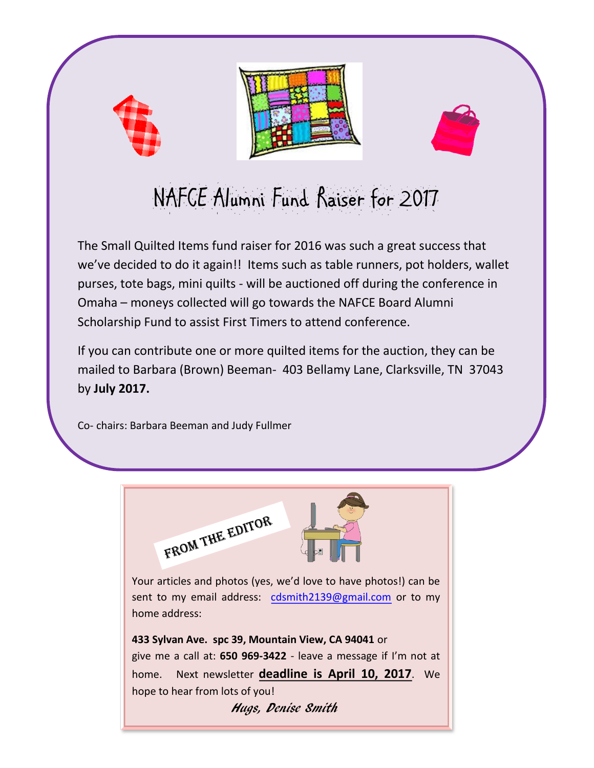



# NAFCE Alumni Fund Raiser for 2017

The Small Quilted Items fund raiser for 2016 was such a great success that we've decided to do it again!! Items such as table runners, pot holders, wallet purses, tote bags, mini quilts - will be auctioned off during the conference in Omaha – moneys collected will go towards the NAFCE Board Alumni Scholarship Fund to assist First Timers to attend conference.

If you can contribute one or more quilted items for the auction, they can be mailed to Barbara (Brown) Beeman- 403 Bellamy Lane, Clarksville, TN 37043 by **July 2017.**

Co- chairs: Barbara Beeman and Judy Fullmer



Your articles and photos (yes, we'd love to have photos!) can be sent to my email address: [cdsmith2139@gmail.com](mailto:cdsmith2139@gmail.com) or to my home address:

**433 Sylvan Ave. spc 39, Mountain View, CA 94041** or give me a call at: **650 969-3422** - leave a message if I'm not at home. Next newsletter **deadline is April 10, 2017**. We hope to hear from lots of you! Hugs, Denise Smith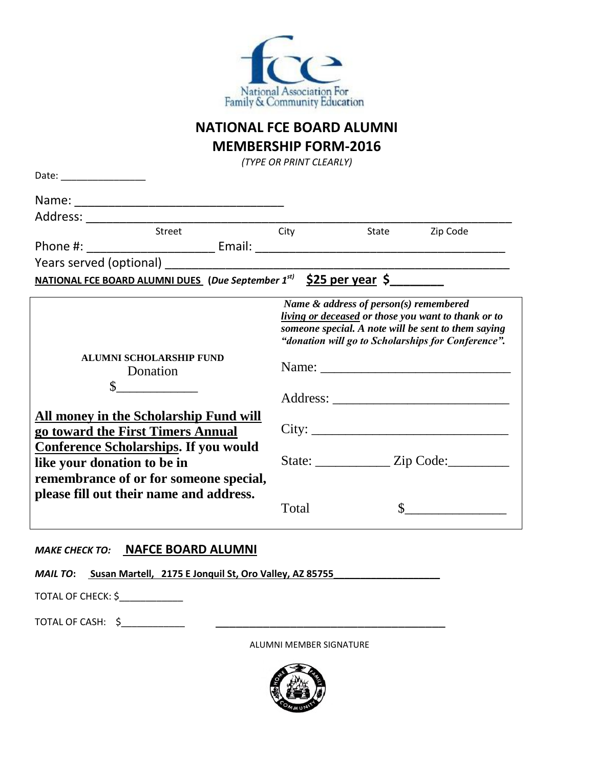

### **NATIONAL FCE BOARD ALUMNI MEMBERSHIP FORM-2016**

*(TYPE OR PRINT CLEARLY)*

| Date: ___________________                                   |                                                                                        |                                        |                                                                                                                                                                  |
|-------------------------------------------------------------|----------------------------------------------------------------------------------------|----------------------------------------|------------------------------------------------------------------------------------------------------------------------------------------------------------------|
|                                                             |                                                                                        |                                        |                                                                                                                                                                  |
|                                                             |                                                                                        |                                        |                                                                                                                                                                  |
|                                                             |                                                                                        | State                                  | Zip Code                                                                                                                                                         |
|                                                             |                                                                                        |                                        |                                                                                                                                                                  |
|                                                             | Years served (optional) Nearly Controller and the controller and the controller        |                                        |                                                                                                                                                                  |
|                                                             | <u>NATIONAL FCE BOARD ALUMNI DUES</u> (Due September 1 <sup>st)</sup> \$25 per year \$ |                                        |                                                                                                                                                                  |
|                                                             |                                                                                        | Name & address of person(s) remembered | living or deceased or those you want to thank or to<br>someone special. A note will be sent to them saying<br>"donation will go to Scholarships for Conference". |
| <b>ALUMNI SCHOLARSHIP FUND</b><br>Donation<br>$\frac{1}{2}$ |                                                                                        |                                        | Name:                                                                                                                                                            |
|                                                             |                                                                                        |                                        |                                                                                                                                                                  |
|                                                             | All money in the Scholarship Fund will<br>go toward the First Timers Annual            |                                        | City:                                                                                                                                                            |
| like your donation to be in                                 | <b>Conference Scholarships. If you would</b>                                           |                                        | State: _______________ Zip Code:___________                                                                                                                      |
|                                                             | remembrance of or for someone special,<br>please fill out their name and address.      |                                        |                                                                                                                                                                  |

#### *MAKE CHECK TO:* **NAFCE BOARD ALUMNI**

|                    | <i>MAIL TO</i> : Susan Martell, 2175 E Jonquil St, Oro Valley, AZ 85755 |  |
|--------------------|-------------------------------------------------------------------------|--|
| TOTAL OF CHECK: \$ |                                                                         |  |
| TOTAL OF CASH: \$  |                                                                         |  |
|                    | ALUMNI MEMBER SIGNATURE                                                 |  |

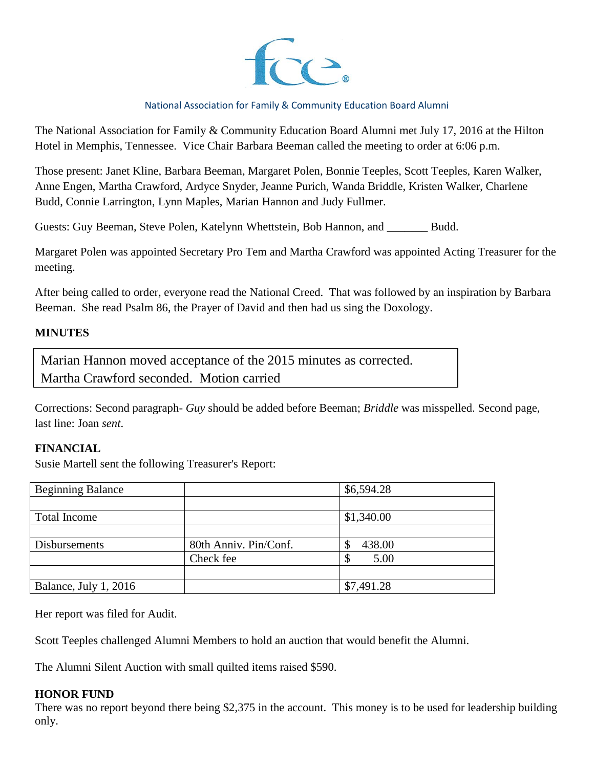

#### National Association for Family & Community Education Board Alumni

The National Association for Family & Community Education Board Alumni met July 17, 2016 at the Hilton Hotel in Memphis, Tennessee. Vice Chair Barbara Beeman called the meeting to order at 6:06 p.m.

Those present: Janet Kline, Barbara Beeman, Margaret Polen, Bonnie Teeples, Scott Teeples, Karen Walker, Anne Engen, Martha Crawford, Ardyce Snyder, Jeanne Purich, Wanda Briddle, Kristen Walker, Charlene Budd, Connie Larrington, Lynn Maples, Marian Hannon and Judy Fullmer.

Guests: Guy Beeman, Steve Polen, Katelynn Whettstein, Bob Hannon, and \_\_\_\_\_\_\_ Budd.

Margaret Polen was appointed Secretary Pro Tem and Martha Crawford was appointed Acting Treasurer for the meeting.

After being called to order, everyone read the National Creed. That was followed by an inspiration by Barbara Beeman. She read Psalm 86, the Prayer of David and then had us sing the Doxology.

#### **MINUTES**

Marian Hannon moved acceptance of the 2015 minutes as corrected. Martha Crawford seconded. Motion carried

Corrections: Second paragraph- *Guy* should be added before Beeman; *Briddle* was misspelled. Second page, last line: Joan *sent*.

#### **FINANCIAL**

Susie Martell sent the following Treasurer's Report:

| <b>Beginning Balance</b> |                       | \$6,594.28 |
|--------------------------|-----------------------|------------|
|                          |                       |            |
| <b>Total Income</b>      |                       | \$1,340.00 |
|                          |                       |            |
| Disbursements            | 80th Anniv. Pin/Conf. | 438.00     |
|                          | Check fee             | 5.00       |
|                          |                       |            |
| Balance, July 1, 2016    |                       | \$7,491.28 |

Her report was filed for Audit.

Scott Teeples challenged Alumni Members to hold an auction that would benefit the Alumni.

The Alumni Silent Auction with small quilted items raised \$590.

#### **HONOR FUND**

There was no report beyond there being \$2,375 in the account. This money is to be used for leadership building only.